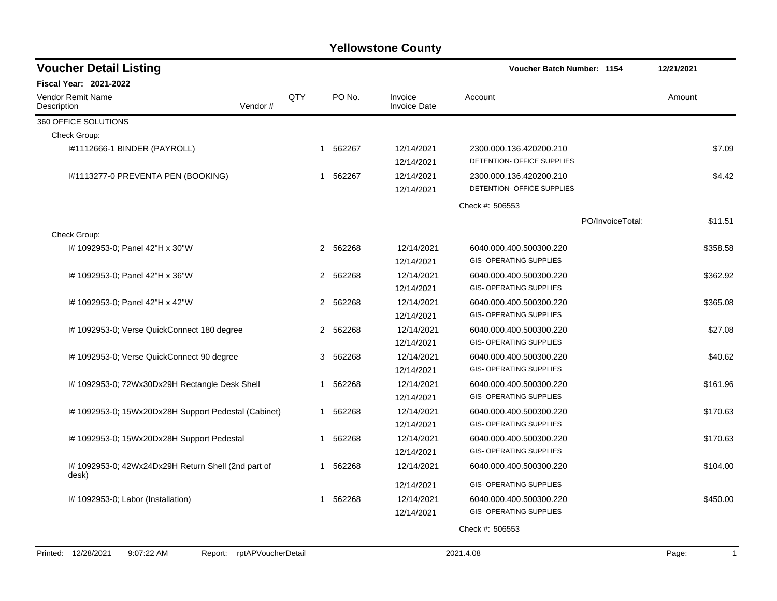| <b>Voucher Detail Listing</b>                                |                    |             |             |                                        | <b>Voucher Batch Number: 1154</b>                                                           |                  | 12/21/2021            |
|--------------------------------------------------------------|--------------------|-------------|-------------|----------------------------------------|---------------------------------------------------------------------------------------------|------------------|-----------------------|
| <b>Fiscal Year: 2021-2022</b>                                |                    |             |             |                                        |                                                                                             |                  |                       |
| Vendor Remit Name<br>Description                             | Vendor#            | QTY         | PO No.      | Invoice<br><b>Invoice Date</b>         | Account                                                                                     |                  | Amount                |
| 360 OFFICE SOLUTIONS                                         |                    |             |             |                                        |                                                                                             |                  |                       |
| Check Group:                                                 |                    |             |             |                                        |                                                                                             |                  |                       |
| I#1112666-1 BINDER (PAYROLL)                                 |                    |             | 562267<br>1 | 12/14/2021<br>12/14/2021               | 2300.000.136.420200.210<br>DETENTION- OFFICE SUPPLIES                                       |                  | \$7.09                |
| I#1113277-0 PREVENTA PEN (BOOKING)                           |                    |             | 562267<br>1 | 12/14/2021<br>12/14/2021               | 2300.000.136.420200.210<br>DETENTION- OFFICE SUPPLIES                                       |                  | \$4.42                |
|                                                              |                    |             |             |                                        | Check #: 506553                                                                             |                  |                       |
|                                                              |                    |             |             |                                        |                                                                                             | PO/InvoiceTotal: | \$11.51               |
| Check Group:                                                 |                    |             |             |                                        |                                                                                             |                  |                       |
| #1092953-0; Panel 42"H x 30"W                                |                    |             | 2 562268    | 12/14/2021<br>12/14/2021               | 6040.000.400.500300.220<br><b>GIS- OPERATING SUPPLIES</b>                                   |                  | \$358.58              |
| #1092953-0; Panel 42"H x 36"W                                |                    |             | 2 562268    | 12/14/2021<br>12/14/2021               | 6040.000.400.500300.220<br><b>GIS- OPERATING SUPPLIES</b>                                   |                  | \$362.92              |
| I# 1092953-0; Panel 42"H x 42"W                              |                    |             | 2 562268    | 12/14/2021<br>12/14/2021               | 6040.000.400.500300.220<br>GIS- OPERATING SUPPLIES                                          |                  | \$365.08              |
| I# 1092953-0; Verse QuickConnect 180 degree                  |                    |             | 2 562268    | 12/14/2021<br>12/14/2021               | 6040.000.400.500300.220<br><b>GIS- OPERATING SUPPLIES</b>                                   |                  | \$27.08               |
| I# 1092953-0; Verse QuickConnect 90 degree                   |                    |             | 562268<br>3 | 12/14/2021<br>12/14/2021               | 6040.000.400.500300.220<br><b>GIS- OPERATING SUPPLIES</b>                                   |                  | \$40.62               |
| I# 1092953-0; 72Wx30Dx29H Rectangle Desk Shell               |                    | $\mathbf 1$ | 562268      | 12/14/2021<br>12/14/2021               | 6040.000.400.500300.220<br><b>GIS- OPERATING SUPPLIES</b>                                   |                  | \$161.96              |
| I# 1092953-0; 15Wx20Dx28H Support Pedestal (Cabinet)         |                    |             | 562268<br>1 | 12/14/2021<br>12/14/2021               | 6040.000.400.500300.220<br><b>GIS- OPERATING SUPPLIES</b>                                   |                  | \$170.63              |
| I# 1092953-0; 15Wx20Dx28H Support Pedestal                   |                    | 1           | 562268      | 12/14/2021<br>12/14/2021               | 6040.000.400.500300.220<br><b>GIS- OPERATING SUPPLIES</b>                                   |                  | \$170.63              |
| I# 1092953-0; 42Wx24Dx29H Return Shell (2nd part of<br>desk) |                    | -1          | 562268      | 12/14/2021                             | 6040.000.400.500300.220                                                                     |                  | \$104.00              |
| # 1092953-0; Labor (Installation)                            |                    | 1           | 562268      | 12/14/2021<br>12/14/2021<br>12/14/2021 | <b>GIS- OPERATING SUPPLIES</b><br>6040.000.400.500300.220<br><b>GIS- OPERATING SUPPLIES</b> |                  | \$450.00              |
|                                                              |                    |             |             |                                        | Check #: 506553                                                                             |                  |                       |
| Printed: 12/28/2021<br>9:07:22 AM<br>Report:                 | rptAPVoucherDetail |             |             |                                        | 2021.4.08                                                                                   |                  | Page:<br>$\mathbf{1}$ |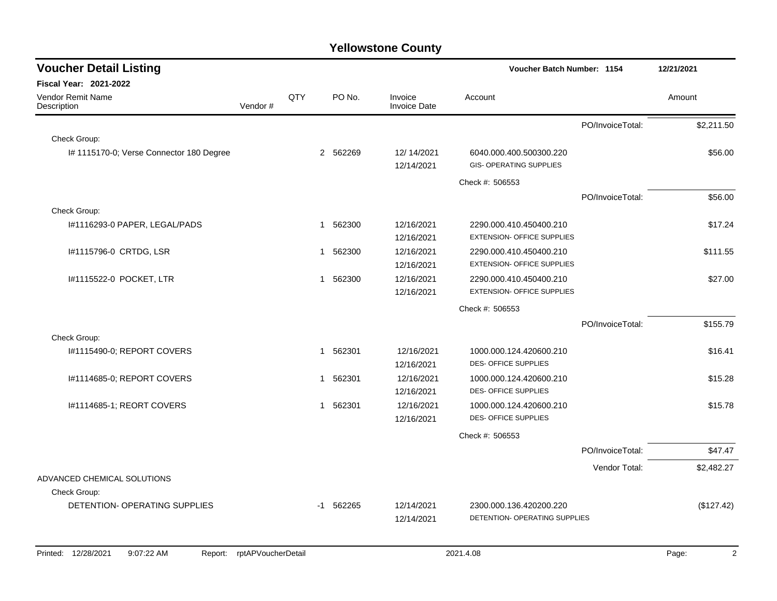| <b>Voucher Detail Listing</b>               |         |     |              |                                | Voucher Batch Number: 1154                                   |                  | 12/21/2021 |
|---------------------------------------------|---------|-----|--------------|--------------------------------|--------------------------------------------------------------|------------------|------------|
| <b>Fiscal Year: 2021-2022</b>               |         |     |              |                                |                                                              |                  |            |
| Vendor Remit Name<br>Description            | Vendor# | QTY | PO No.       | Invoice<br><b>Invoice Date</b> | Account                                                      |                  | Amount     |
|                                             |         |     |              |                                |                                                              | PO/InvoiceTotal: | \$2,211.50 |
| Check Group:                                |         |     |              |                                |                                                              |                  |            |
| I# 1115170-0; Verse Connector 180 Degree    |         |     | 2 562269     | 12/14/2021<br>12/14/2021       | 6040.000.400.500300.220<br><b>GIS- OPERATING SUPPLIES</b>    |                  | \$56.00    |
|                                             |         |     |              |                                | Check #: 506553                                              |                  |            |
|                                             |         |     |              |                                |                                                              | PO/InvoiceTotal: | \$56.00    |
| Check Group:                                |         |     |              |                                |                                                              |                  |            |
| I#1116293-0 PAPER, LEGAL/PADS               |         |     | 1 562300     | 12/16/2021<br>12/16/2021       | 2290.000.410.450400.210<br><b>EXTENSION- OFFICE SUPPLIES</b> |                  | \$17.24    |
| I#1115796-0 CRTDG, LSR                      |         |     | 1 562300     | 12/16/2021<br>12/16/2021       | 2290.000.410.450400.210<br><b>EXTENSION- OFFICE SUPPLIES</b> |                  | \$111.55   |
| 1#1115522-0 POCKET, LTR                     |         |     | 562300<br>-1 | 12/16/2021<br>12/16/2021       | 2290.000.410.450400.210<br><b>EXTENSION- OFFICE SUPPLIES</b> |                  | \$27.00    |
|                                             |         |     |              |                                | Check #: 506553                                              |                  |            |
|                                             |         |     |              |                                |                                                              | PO/InvoiceTotal: | \$155.79   |
| Check Group:                                |         |     |              |                                |                                                              |                  |            |
| #1115490-0; REPORT COVERS                   |         |     | 1 562301     | 12/16/2021<br>12/16/2021       | 1000.000.124.420600.210<br>DES- OFFICE SUPPLIES              |                  | \$16.41    |
| I#1114685-0; REPORT COVERS                  |         |     | 1 562301     | 12/16/2021<br>12/16/2021       | 1000.000.124.420600.210<br><b>DES- OFFICE SUPPLIES</b>       |                  | \$15.28    |
| I#1114685-1; REORT COVERS                   |         |     | 1 562301     | 12/16/2021<br>12/16/2021       | 1000.000.124.420600.210<br><b>DES- OFFICE SUPPLIES</b>       |                  | \$15.78    |
|                                             |         |     |              |                                | Check #: 506553                                              |                  |            |
|                                             |         |     |              |                                |                                                              | PO/InvoiceTotal: | \$47.47    |
|                                             |         |     |              |                                |                                                              | Vendor Total:    | \$2,482.27 |
| ADVANCED CHEMICAL SOLUTIONS<br>Check Group: |         |     |              |                                |                                                              |                  |            |
| DETENTION- OPERATING SUPPLIES               |         |     | $-1$ 562265  | 12/14/2021                     | 2300.000.136.420200.220                                      |                  | (\$127.42) |
|                                             |         |     |              | 12/14/2021                     | DETENTION- OPERATING SUPPLIES                                |                  |            |
|                                             |         |     |              |                                |                                                              |                  |            |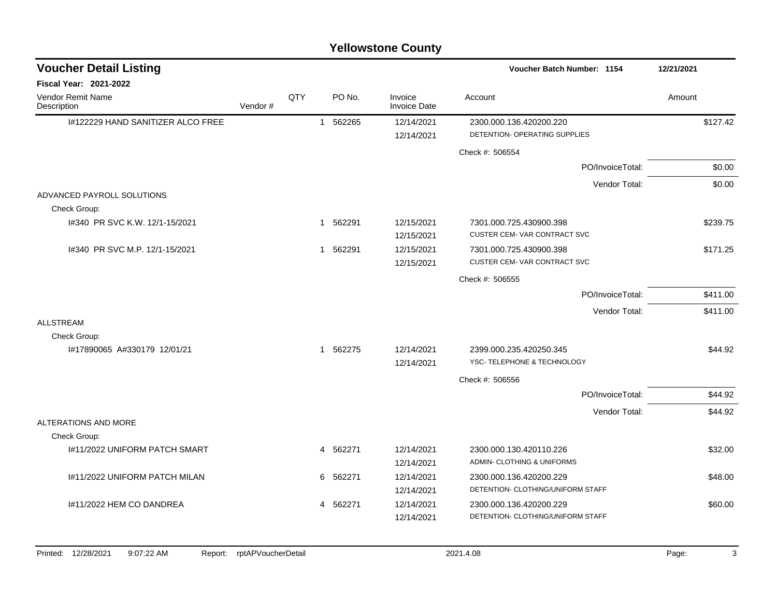| <b>Voucher Detail Listing</b>        |         |     |                          |                                | Voucher Batch Number: 1154                             | 12/21/2021 |
|--------------------------------------|---------|-----|--------------------------|--------------------------------|--------------------------------------------------------|------------|
| <b>Fiscal Year: 2021-2022</b>        |         |     |                          |                                |                                                        |            |
| Vendor Remit Name<br>Description     | Vendor# | QTY | PO No.                   | Invoice<br><b>Invoice Date</b> | Account                                                | Amount     |
| I#122229 HAND SANITIZER ALCO FREE    |         |     | 562265<br>$\overline{1}$ | 12/14/2021                     | 2300.000.136.420200.220                                | \$127.42   |
|                                      |         |     |                          | 12/14/2021                     | DETENTION- OPERATING SUPPLIES                          |            |
|                                      |         |     |                          |                                | Check #: 506554                                        |            |
|                                      |         |     |                          |                                | PO/InvoiceTotal:                                       | \$0.00     |
|                                      |         |     |                          |                                | Vendor Total:                                          | \$0.00     |
| ADVANCED PAYROLL SOLUTIONS           |         |     |                          |                                |                                                        |            |
| Check Group:                         |         |     |                          |                                |                                                        |            |
| 1#340 PR SVC K.W. 12/1-15/2021       |         |     | 1 562291                 | 12/15/2021                     | 7301.000.725.430900.398                                | \$239.75   |
|                                      |         |     |                          | 12/15/2021                     | <b>CUSTER CEM-VAR CONTRACT SVC</b>                     |            |
| I#340 PR SVC M.P. 12/1-15/2021       |         |     | 562291<br>$\mathbf{1}$   | 12/15/2021                     | 7301.000.725.430900.398<br>CUSTER CEM-VAR CONTRACT SVC | \$171.25   |
|                                      |         |     |                          | 12/15/2021                     |                                                        |            |
|                                      |         |     |                          |                                | Check #: 506555                                        |            |
|                                      |         |     |                          |                                | PO/InvoiceTotal:                                       | \$411.00   |
|                                      |         |     |                          |                                | Vendor Total:                                          | \$411.00   |
| <b>ALLSTREAM</b>                     |         |     |                          |                                |                                                        |            |
| Check Group:                         |         |     |                          |                                |                                                        |            |
| I#17890065 A#330179 12/01/21         |         |     | 562275<br>$\mathbf{1}$   | 12/14/2021<br>12/14/2021       | 2399.000.235.420250.345<br>YSC- TELEPHONE & TECHNOLOGY | \$44.92    |
|                                      |         |     |                          |                                |                                                        |            |
|                                      |         |     |                          |                                | Check #: 506556                                        |            |
|                                      |         |     |                          |                                | PO/InvoiceTotal:                                       | \$44.92    |
|                                      |         |     |                          |                                | Vendor Total:                                          | \$44.92    |
| ALTERATIONS AND MORE<br>Check Group: |         |     |                          |                                |                                                        |            |
| I#11/2022 UNIFORM PATCH SMART        |         |     | 4 562271                 | 12/14/2021                     | 2300.000.130.420110.226                                | \$32.00    |
|                                      |         |     |                          | 12/14/2021                     | ADMIN- CLOTHING & UNIFORMS                             |            |
| 1#11/2022 UNIFORM PATCH MILAN        |         |     | 562271<br>6              | 12/14/2021                     | 2300.000.136.420200.229                                | \$48.00    |
|                                      |         |     |                          | 12/14/2021                     | DETENTION- CLOTHING/UNIFORM STAFF                      |            |
| I#11/2022 HEM CO DANDREA             |         |     | 4 562271                 | 12/14/2021                     | 2300.000.136.420200.229                                | \$60.00    |
|                                      |         |     |                          | 12/14/2021                     | DETENTION- CLOTHING/UNIFORM STAFF                      |            |
|                                      |         |     |                          |                                |                                                        |            |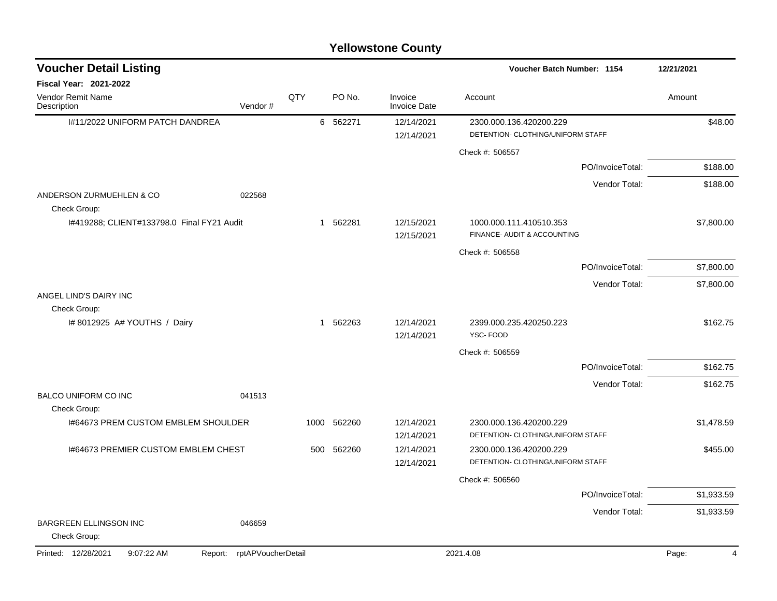| <b>Voucher Detail Listing</b>                 |                               |     |             |                                | Voucher Batch Number: 1154                                   | 12/21/2021 |
|-----------------------------------------------|-------------------------------|-----|-------------|--------------------------------|--------------------------------------------------------------|------------|
| <b>Fiscal Year: 2021-2022</b>                 |                               |     |             |                                |                                                              |            |
| Vendor Remit Name<br>Description              | Vendor#                       | QTY | PO No.      | Invoice<br><b>Invoice Date</b> | Account                                                      | Amount     |
| I#11/2022 UNIFORM PATCH DANDREA               |                               |     | 6 562271    | 12/14/2021                     | 2300.000.136.420200.229                                      | \$48.00    |
|                                               |                               |     |             | 12/14/2021                     | DETENTION- CLOTHING/UNIFORM STAFF                            |            |
|                                               |                               |     |             |                                | Check #: 506557                                              |            |
|                                               |                               |     |             |                                | PO/InvoiceTotal:                                             | \$188.00   |
| ANDERSON ZURMUEHLEN & CO<br>Check Group:      | 022568                        |     |             |                                | Vendor Total:                                                | \$188.00   |
| I#419288; CLIENT#133798.0 Final FY21 Audit    |                               |     | 1 562281    | 12/15/2021<br>12/15/2021       | 1000.000.111.410510.353<br>FINANCE- AUDIT & ACCOUNTING       | \$7,800.00 |
|                                               |                               |     |             |                                | Check #: 506558                                              |            |
|                                               |                               |     |             |                                | PO/InvoiceTotal:                                             | \$7,800.00 |
|                                               |                               |     |             |                                | Vendor Total:                                                | \$7,800.00 |
| ANGEL LIND'S DAIRY INC<br>Check Group:        |                               |     |             |                                |                                                              |            |
| # 8012925 A# YOUTHS / Dairy                   |                               |     | 1 562263    | 12/14/2021<br>12/14/2021       | 2399.000.235.420250.223<br>YSC-FOOD                          | \$162.75   |
|                                               |                               |     |             |                                | Check #: 506559                                              |            |
|                                               |                               |     |             |                                | PO/InvoiceTotal:                                             | \$162.75   |
|                                               |                               |     |             |                                | Vendor Total:                                                | \$162.75   |
| <b>BALCO UNIFORM CO INC</b><br>Check Group:   | 041513                        |     |             |                                |                                                              |            |
| 1#64673 PREM CUSTOM EMBLEM SHOULDER           |                               |     | 1000 562260 | 12/14/2021                     | 2300.000.136.420200.229                                      | \$1,478.59 |
|                                               |                               |     |             | 12/14/2021                     | DETENTION- CLOTHING/UNIFORM STAFF                            |            |
| 1#64673 PREMIER CUSTOM EMBLEM CHEST           |                               | 500 | 562260      | 12/14/2021<br>12/14/2021       | 2300.000.136.420200.229<br>DETENTION- CLOTHING/UNIFORM STAFF | \$455.00   |
|                                               |                               |     |             |                                | Check #: 506560                                              |            |
|                                               |                               |     |             |                                | PO/InvoiceTotal:                                             | \$1,933.59 |
|                                               |                               |     |             |                                | Vendor Total:                                                | \$1,933.59 |
| <b>BARGREEN ELLINGSON INC</b><br>Check Group: | 046659                        |     |             |                                |                                                              |            |
| Printed: 12/28/2021<br>9:07:22 AM             | rptAPVoucherDetail<br>Report: |     |             |                                | 2021.4.08                                                    | Page:<br>4 |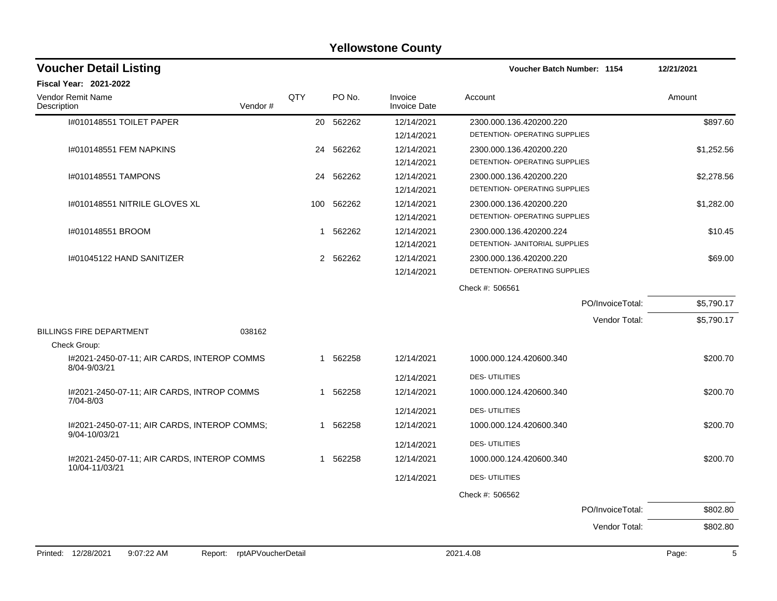#### I#010148551 TOILET PAPER 20 562262 12/14/2021 2300.000.136.420200.220 \$897.60 12/14/2021 DETENTION- OPERATING SUPPLIES I#010148551 FEM NAPKINS 24 562262 12/14/2021 2300.000.136.420200.220 \$1,252.56 12/14/2021 DETENTION- OPERATING SUPPLIES I#010148551 TAMPONS 24 562262 12/14/2021 2300.000.136.420200.220 \$2,278.56 12/14/2021 DETENTION- OPERATING SUPPLIES I#010148551 NITRILE GLOVES XL 100 562262 12/14/2021 2300.000.136.420200.220 \$1,282.00 12/14/2021 DETENTION- OPERATING SUPPLIES I#010148551 BROOM 1 562262 12/14/2021 2300.000.136.420200.224 \$10.45 12/14/2021 DETENTION- JANITORIAL SUPPLIES I#01045122 HAND SANITIZER 2 562262 12/14/2021 2300.000.136.420200.220 \$69.00 12/14/2021 DETENTION- OPERATING SUPPLIES Check #: 506561 PO/InvoiceTotal: \$5,790.17 Vendor Total: \$5,790.17 BILLINGS FIRE DEPARTMENT 038162 Check Group: I#2021-2450-07-11; AIR CARDS, INTEROP COMMS 8/04-9/03/21 1 562258 12/14/2021 1000.000.124.420600.340 \$200.70 12/14/2021 DES- UTILITIES I#2021-2450-07-11; AIR CARDS, INTROP COMMS 7/04-8/03 1 562258 12/14/2021 1000.000.124.420600.340 \$200.70 12/14/2021 DES- UTILITIES I#2021-2450-07-11; AIR CARDS, INTEROP COMMS; 9/04-10/03/21 1 562258 12/14/2021 1000.000.124.420600.340 \$200.70 12/14/2021 DES- UTILITIES I#2021-2450-07-11; AIR CARDS, INTEROP COMMS 10/04-11/03/21 1 562258 12/14/2021 1000.000.124.420600.340 \$200.70 12/14/2021 DES- UTILITIES Check #: 506562 PO/InvoiceTotal: \$802.80 Vendor Total: \$802.80 **Voucher Batch Number: Yellowstone County** Vendor Remit Name **Description Voucher Detail Listing Fiscal Year: 2021-2022 1154 12/21/2021** PO No. Invoice Account Amount Amount Amount Amount Vendor # QTY Invoice Date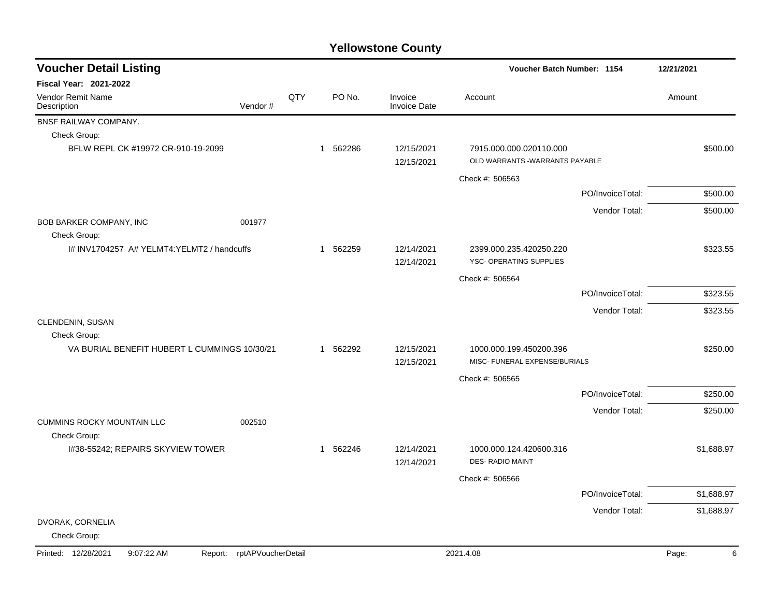| <b>Voucher Detail Listing</b>                     |                    |     |          |                                |                                                            | Voucher Batch Number: 1154 |            |
|---------------------------------------------------|--------------------|-----|----------|--------------------------------|------------------------------------------------------------|----------------------------|------------|
| <b>Fiscal Year: 2021-2022</b>                     |                    |     |          |                                |                                                            |                            |            |
| Vendor Remit Name<br>Description                  | Vendor#            | QTY | PO No.   | Invoice<br><b>Invoice Date</b> | Account                                                    |                            | Amount     |
| BNSF RAILWAY COMPANY.                             |                    |     |          |                                |                                                            |                            |            |
| Check Group:                                      |                    |     |          |                                |                                                            |                            |            |
| BFLW REPL CK #19972 CR-910-19-2099                |                    |     | 1 562286 | 12/15/2021<br>12/15/2021       | 7915.000.000.020110.000<br>OLD WARRANTS - WARRANTS PAYABLE |                            | \$500.00   |
|                                                   |                    |     |          |                                | Check #: 506563                                            |                            |            |
|                                                   |                    |     |          |                                |                                                            | PO/InvoiceTotal:           | \$500.00   |
|                                                   |                    |     |          |                                |                                                            | Vendor Total:              | \$500.00   |
| BOB BARKER COMPANY, INC<br>Check Group:           | 001977             |     |          |                                |                                                            |                            |            |
| I# INV1704257 A# YELMT4:YELMT2 / handcuffs        |                    |     | 1 562259 | 12/14/2021<br>12/14/2021       | 2399.000.235.420250.220<br>YSC- OPERATING SUPPLIES         |                            | \$323.55   |
|                                                   |                    |     |          |                                | Check #: 506564                                            |                            |            |
|                                                   |                    |     |          |                                |                                                            | PO/InvoiceTotal:           | \$323.55   |
|                                                   |                    |     |          |                                |                                                            | Vendor Total:              | \$323.55   |
| CLENDENIN, SUSAN<br>Check Group:                  |                    |     |          |                                |                                                            |                            |            |
| VA BURIAL BENEFIT HUBERT L CUMMINGS 10/30/21      |                    |     | 1 562292 | 12/15/2021<br>12/15/2021       | 1000.000.199.450200.396<br>MISC- FUNERAL EXPENSE/BURIALS   |                            | \$250.00   |
|                                                   |                    |     |          |                                | Check #: 506565                                            |                            |            |
|                                                   |                    |     |          |                                |                                                            | PO/InvoiceTotal:           | \$250.00   |
|                                                   |                    |     |          |                                |                                                            | Vendor Total:              | \$250.00   |
| <b>CUMMINS ROCKY MOUNTAIN LLC</b><br>Check Group: | 002510             |     |          |                                |                                                            |                            |            |
| I#38-55242; REPAIRS SKYVIEW TOWER                 |                    |     | 1 562246 | 12/14/2021<br>12/14/2021       | 1000.000.124.420600.316<br><b>DES- RADIO MAINT</b>         |                            | \$1,688.97 |
|                                                   |                    |     |          |                                | Check #: 506566                                            |                            |            |
|                                                   |                    |     |          |                                |                                                            | PO/InvoiceTotal:           | \$1,688.97 |
|                                                   |                    |     |          |                                |                                                            | Vendor Total:              | \$1,688.97 |
| DVORAK, CORNELIA<br>Check Group:                  |                    |     |          |                                |                                                            |                            |            |
| Printed: 12/28/2021<br>9:07:22 AM<br>Report:      | rptAPVoucherDetail |     |          |                                | 2021.4.08                                                  |                            | Page:<br>6 |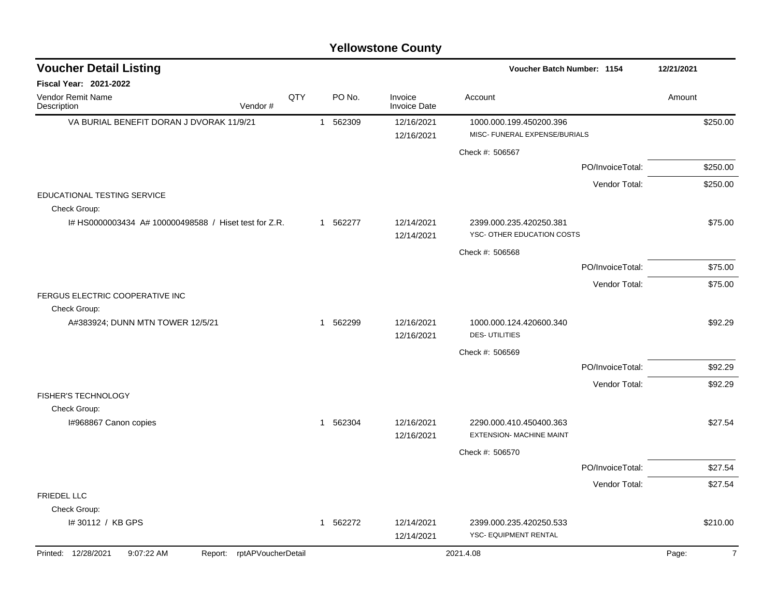| <b>Voucher Detail Listing</b>                         |                               |     | Voucher Batch Number: 1154 |                                |                                                          |                  | 12/21/2021 |  |
|-------------------------------------------------------|-------------------------------|-----|----------------------------|--------------------------------|----------------------------------------------------------|------------------|------------|--|
| <b>Fiscal Year: 2021-2022</b>                         |                               |     |                            |                                |                                                          |                  |            |  |
| Vendor Remit Name<br>Description                      | Vendor#                       | QTY | PO No.                     | Invoice<br><b>Invoice Date</b> | Account                                                  |                  | Amount     |  |
| VA BURIAL BENEFIT DORAN J DVORAK 11/9/21              |                               |     | 1 562309                   | 12/16/2021<br>12/16/2021       | 1000.000.199.450200.396<br>MISC- FUNERAL EXPENSE/BURIALS |                  | \$250.00   |  |
|                                                       |                               |     |                            |                                | Check #: 506567                                          |                  |            |  |
|                                                       |                               |     |                            |                                |                                                          | PO/InvoiceTotal: | \$250.00   |  |
|                                                       |                               |     |                            |                                |                                                          | Vendor Total:    | \$250.00   |  |
| EDUCATIONAL TESTING SERVICE<br>Check Group:           |                               |     |                            |                                |                                                          |                  |            |  |
| I# HS0000003434 A# 100000498588 / Hiset test for Z.R. |                               |     | 1 562277                   | 12/14/2021<br>12/14/2021       | 2399.000.235.420250.381<br>YSC- OTHER EDUCATION COSTS    |                  | \$75.00    |  |
|                                                       |                               |     |                            |                                | Check #: 506568                                          |                  |            |  |
|                                                       |                               |     |                            |                                |                                                          | PO/InvoiceTotal: | \$75.00    |  |
|                                                       |                               |     |                            |                                |                                                          | Vendor Total:    | \$75.00    |  |
| FERGUS ELECTRIC COOPERATIVE INC<br>Check Group:       |                               |     |                            |                                |                                                          |                  |            |  |
| A#383924; DUNN MTN TOWER 12/5/21                      |                               |     | 1 562299                   | 12/16/2021<br>12/16/2021       | 1000.000.124.420600.340<br><b>DES-UTILITIES</b>          |                  | \$92.29    |  |
|                                                       |                               |     |                            |                                | Check #: 506569                                          |                  |            |  |
|                                                       |                               |     |                            |                                |                                                          | PO/InvoiceTotal: | \$92.29    |  |
|                                                       |                               |     |                            |                                |                                                          | Vendor Total:    | \$92.29    |  |
| FISHER'S TECHNOLOGY                                   |                               |     |                            |                                |                                                          |                  |            |  |
| Check Group:                                          |                               |     |                            |                                |                                                          |                  |            |  |
| I#968867 Canon copies                                 |                               |     | 1 562304                   | 12/16/2021<br>12/16/2021       | 2290.000.410.450400.363<br>EXTENSION- MACHINE MAINT      |                  | \$27.54    |  |
|                                                       |                               |     |                            |                                | Check #: 506570                                          |                  |            |  |
|                                                       |                               |     |                            |                                |                                                          | PO/InvoiceTotal: | \$27.54    |  |
|                                                       |                               |     |                            |                                |                                                          | Vendor Total:    | \$27.54    |  |
| <b>FRIEDEL LLC</b>                                    |                               |     |                            |                                |                                                          |                  |            |  |
| Check Group:                                          |                               |     |                            |                                |                                                          |                  |            |  |
| I# 30112 / KB GPS                                     |                               |     | 1 562272                   | 12/14/2021<br>12/14/2021       | 2399.000.235.420250.533<br>YSC- EQUIPMENT RENTAL         |                  | \$210.00   |  |
| Printed: 12/28/2021<br>9:07:22 AM                     | rptAPVoucherDetail<br>Report: |     |                            |                                | 2021.4.08                                                |                  | Page:      |  |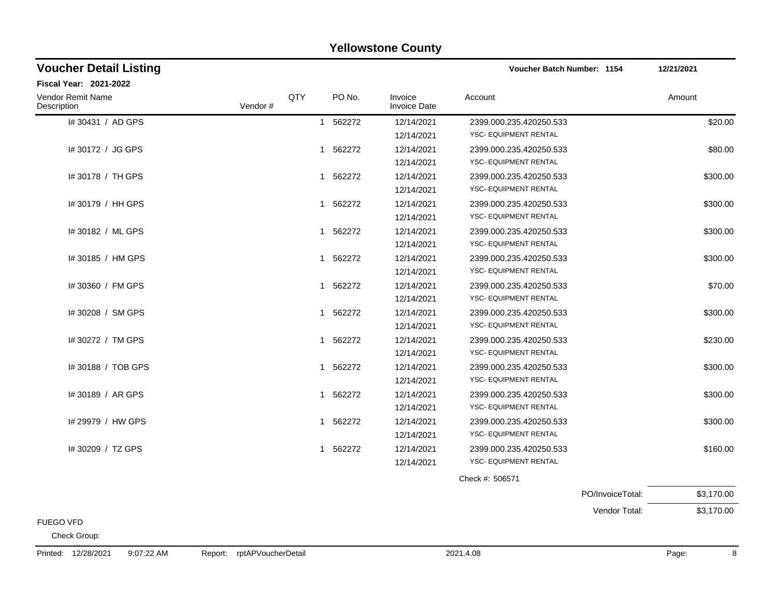### 1# 30431 / AD GPS 1 562272 12/14/2021 2399.000.235.420250.533 12/14/2021 YSC- EQUIPMENT RENTAL 1# 30172 / JG GPS 1 562272 12/14/2021 2399.000.235.420250.533 12/14/2021 YSC- EQUIPMENT RENTAL I# 30178 / TH GPS 1 562272 12/14/2021 2399.000.235.420250.533 12/14/2021 YSC- EQUIPMENT RENTAL I# 30179 / HH GPS 300.00 12/14/2021 YSC- EQUIPMENT RENTAL 1# 30182 / ML GPS 1 562272 12/14/2021 2399.000.235.420250.533 12/14/2021 YSC- EQUIPMENT RENTAL I# 30185 / HM GPS 1 562272 12/14/2021 2399.000.235.420250.533 12/14/2021 YSC- EQUIPMENT RENTAL 1# 30360 / FM GPS 1 562272 12/14/2021 2399.000.235.420250.533 12/14/2021 YSC- EQUIPMENT RENTAL 1# 30208 / SM GPS 1 562272 12/14/2021 2399.000.235.420250.533 12/14/2021 YSC- EQUIPMENT RENTAL I# 30272 / TM GPS 1 562272 12/14/2021 2399.000.235.420250.533 12/14/2021 YSC- EQUIPMENT RENTAL 1# 30188 / TOB GPS 1 562272 12/14/2021 2399.000.235.420250.533 12/14/2021 YSC- EQUIPMENT RENTAL 1# 30189 / AR GPS 1 562272 12/14/2021 2399.000.235.420250.533 12/14/2021 YSC- EQUIPMENT RENTAL I# 29979 / HW GPS 1 562272 12/14/2021 2399.000.235.420250.533 12/14/2021 YSC- EQUIPMENT RENTAL I# 30209 / TZ GPS 160.00 12/14/2021 YSC- EQUIPMENT RENTAL Check #: 506571 PO/InvoiceTotal: \$3,170.00 Vendor Total: \$3,170.00 **Voucher Batch Number: Yellowstone County** Vendor Remit Name **Description Voucher Detail Listing Fiscal Year: 2021-2022 1154 12/21/2021** PO No. Invoice Account Amount Amount Amount Amount Vendor # QTY Invoice Date

#### FUEGO VFD

Check Group: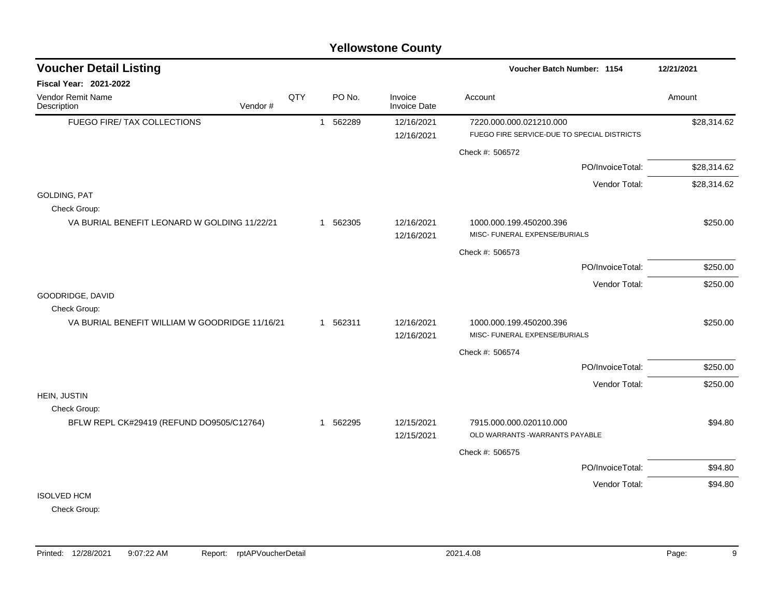### FUEGO FIRE/ TAX COLLECTIONS  $1\quad 562289$   $12/16/2021$   $7220.000.000.021210.000$  \$28.314.62 12/16/2021 FUEGO FIRE SERVICE-DUE TO SPECIAL DISTRICTS Check #: 506572 PO/InvoiceTotal: \$28,314.62 Vendor Total: \$28,314.62 GOLDING, PAT Check Group: VA BURIAL BENEFIT LEONARD W GOLDING 11/22/21 1562305 12/16/2021 1000.000.199.450200.396 5250.00 12/16/2021 MISC- FUNERAL EXPENSE/BURIALS Check #: 506573 PO/InvoiceTotal: \$250.00 Vendor Total: \$250.00 GOODRIDGE, DAVID Check Group: VA BURIAL BENEFIT WILLIAM W GOODRIDGE 11/16/21 1 562311 12/16/2021 1000.000.199.450200.396 \$250.00 12/16/2021 MISC- FUNERAL EXPENSE/BURIALS Check #: 506574 PO/InvoiceTotal: \$250.00 Vendor Total: \$250.00 Check Group: BFLW REPL CK#29419 (REFUND DO9505/C12764)  $1 \quad 562295$   $12/15/2021$   $7915.000.000.020110.000$ 12/15/2021 OLD WARRANTS -WARRANTS PAYABLE **Voucher Batch Number:** Vendor Remit Name **Voucher Detail Listing Fiscal Year: 2021-2022 1154 12/21/2021** PO No. Invoice Account Amount Amount Amount Amount Vendor # **QTY** Invoice Date

### **Yellowstone County**

Check #: 506575

ISOLVED HCM

HEIN, JUSTIN

**Description** 

Check Group:

PO/InvoiceTotal: \$94.80 Vendor Total: \$94.80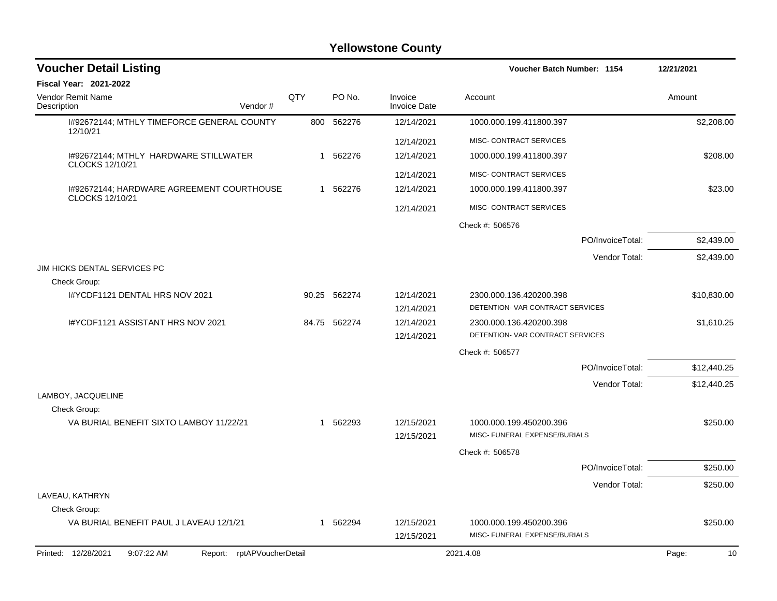| <b>Voucher Detail Listing</b>                                   |     |              |                                | Voucher Batch Number: 1154                                  | 12/21/2021  |
|-----------------------------------------------------------------|-----|--------------|--------------------------------|-------------------------------------------------------------|-------------|
| <b>Fiscal Year: 2021-2022</b>                                   |     |              |                                |                                                             |             |
| Vendor Remit Name<br>Description<br>Vendor#                     | QTY | PO No.       | Invoice<br><b>Invoice Date</b> | Account                                                     | Amount      |
| I#92672144; MTHLY TIMEFORCE GENERAL COUNTY<br>12/10/21          |     | 800 562276   | 12/14/2021                     | 1000.000.199.411800.397                                     | \$2,208.00  |
|                                                                 |     |              | 12/14/2021                     | MISC- CONTRACT SERVICES                                     |             |
| 1#92672144; MTHLY HARDWARE STILLWATER<br>CLOCKS 12/10/21        |     | 1 562276     | 12/14/2021                     | 1000.000.199.411800.397                                     | \$208.00    |
|                                                                 |     |              | 12/14/2021                     | MISC- CONTRACT SERVICES                                     |             |
| 1#92672144; HARDWARE AGREEMENT COURTHOUSE<br>CLOCKS 12/10/21    |     | 1 562276     | 12/14/2021                     | 1000.000.199.411800.397                                     | \$23.00     |
|                                                                 |     |              | 12/14/2021                     | MISC- CONTRACT SERVICES                                     |             |
|                                                                 |     |              |                                | Check #: 506576                                             |             |
|                                                                 |     |              |                                | PO/InvoiceTotal:                                            | \$2,439.00  |
|                                                                 |     |              |                                | Vendor Total:                                               | \$2,439.00  |
| JIM HICKS DENTAL SERVICES PC<br>Check Group:                    |     |              |                                |                                                             |             |
| I#YCDF1121 DENTAL HRS NOV 2021                                  |     | 90.25 562274 | 12/14/2021<br>12/14/2021       | 2300.000.136.420200.398<br>DETENTION- VAR CONTRACT SERVICES | \$10,830.00 |
| I#YCDF1121 ASSISTANT HRS NOV 2021                               |     | 84.75 562274 | 12/14/2021<br>12/14/2021       | 2300.000.136.420200.398<br>DETENTION- VAR CONTRACT SERVICES | \$1,610.25  |
|                                                                 |     |              |                                | Check #: 506577                                             |             |
|                                                                 |     |              |                                | PO/InvoiceTotal:                                            | \$12,440.25 |
|                                                                 |     |              |                                | Vendor Total:                                               | \$12,440.25 |
| LAMBOY, JACQUELINE<br>Check Group:                              |     |              |                                |                                                             |             |
| VA BURIAL BENEFIT SIXTO LAMBOY 11/22/21                         |     | 1 562293     | 12/15/2021<br>12/15/2021       | 1000.000.199.450200.396<br>MISC- FUNERAL EXPENSE/BURIALS    | \$250.00    |
|                                                                 |     |              |                                | Check #: 506578                                             |             |
|                                                                 |     |              |                                | PO/InvoiceTotal:                                            | \$250.00    |
|                                                                 |     |              |                                | Vendor Total:                                               | \$250.00    |
| LAVEAU, KATHRYN                                                 |     |              |                                |                                                             |             |
| Check Group:                                                    |     |              |                                |                                                             |             |
| VA BURIAL BENEFIT PAUL J LAVEAU 12/1/21                         |     | 1 562294     | 12/15/2021<br>12/15/2021       | 1000.000.199.450200.396<br>MISC- FUNERAL EXPENSE/BURIALS    | \$250.00    |
| Report: rptAPVoucherDetail<br>Printed: 12/28/2021<br>9:07:22 AM |     |              |                                | 2021.4.08                                                   | Page:<br>10 |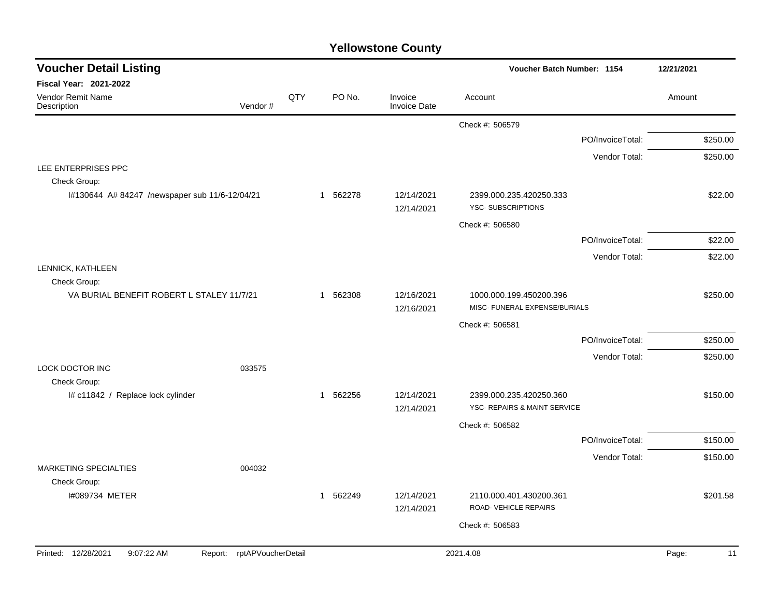| <b>Voucher Detail Listing</b>                     |                            |     |          |                                | Voucher Batch Number: 1154                               |                  | 12/21/2021  |
|---------------------------------------------------|----------------------------|-----|----------|--------------------------------|----------------------------------------------------------|------------------|-------------|
| Fiscal Year: 2021-2022                            |                            |     |          |                                |                                                          |                  |             |
| Vendor Remit Name<br>Description                  | Vendor#                    | QTY | PO No.   | Invoice<br><b>Invoice Date</b> | Account                                                  |                  | Amount      |
|                                                   |                            |     |          |                                | Check #: 506579                                          |                  |             |
|                                                   |                            |     |          |                                |                                                          | PO/InvoiceTotal: | \$250.00    |
|                                                   |                            |     |          |                                |                                                          | Vendor Total:    | \$250.00    |
| LEE ENTERPRISES PPC<br>Check Group:               |                            |     |          |                                |                                                          |                  |             |
| I#130644 A# 84247 /newspaper sub 11/6-12/04/21    |                            |     | 1 562278 | 12/14/2021<br>12/14/2021       | 2399.000.235.420250.333<br><b>YSC-SUBSCRIPTIONS</b>      |                  | \$22.00     |
|                                                   |                            |     |          |                                | Check #: 506580                                          |                  |             |
|                                                   |                            |     |          |                                |                                                          | PO/InvoiceTotal: | \$22.00     |
|                                                   |                            |     |          |                                |                                                          | Vendor Total:    | \$22.00     |
| LENNICK, KATHLEEN<br>Check Group:                 |                            |     |          |                                |                                                          |                  |             |
| VA BURIAL BENEFIT ROBERT L STALEY 11/7/21         |                            |     | 1 562308 | 12/16/2021<br>12/16/2021       | 1000.000.199.450200.396<br>MISC- FUNERAL EXPENSE/BURIALS |                  | \$250.00    |
|                                                   |                            |     |          |                                | Check #: 506581                                          |                  |             |
|                                                   |                            |     |          |                                |                                                          | PO/InvoiceTotal: | \$250.00    |
|                                                   |                            |     |          |                                |                                                          | Vendor Total:    | \$250.00    |
| <b>LOCK DOCTOR INC</b>                            | 033575                     |     |          |                                |                                                          |                  |             |
| Check Group:<br>I# c11842 / Replace lock cylinder |                            |     | 1 562256 | 12/14/2021<br>12/14/2021       | 2399.000.235.420250.360<br>YSC- REPAIRS & MAINT SERVICE  |                  | \$150.00    |
|                                                   |                            |     |          |                                | Check #: 506582                                          |                  |             |
|                                                   |                            |     |          |                                |                                                          | PO/InvoiceTotal: | \$150.00    |
|                                                   |                            |     |          |                                |                                                          | Vendor Total:    | \$150.00    |
| MARKETING SPECIALTIES                             | 004032                     |     |          |                                |                                                          |                  |             |
| Check Group:                                      |                            |     |          | 12/14/2021                     | 2110.000.401.430200.361                                  |                  | \$201.58    |
| 1#089734 METER                                    |                            |     | 1 562249 | 12/14/2021                     | ROAD-VEHICLE REPAIRS                                     |                  |             |
|                                                   |                            |     |          |                                | Check #: 506583                                          |                  |             |
|                                                   |                            |     |          |                                |                                                          |                  |             |
| Printed: 12/28/2021<br>9:07:22 AM                 | Report: rptAPVoucherDetail |     |          |                                | 2021.4.08                                                |                  | Page:<br>11 |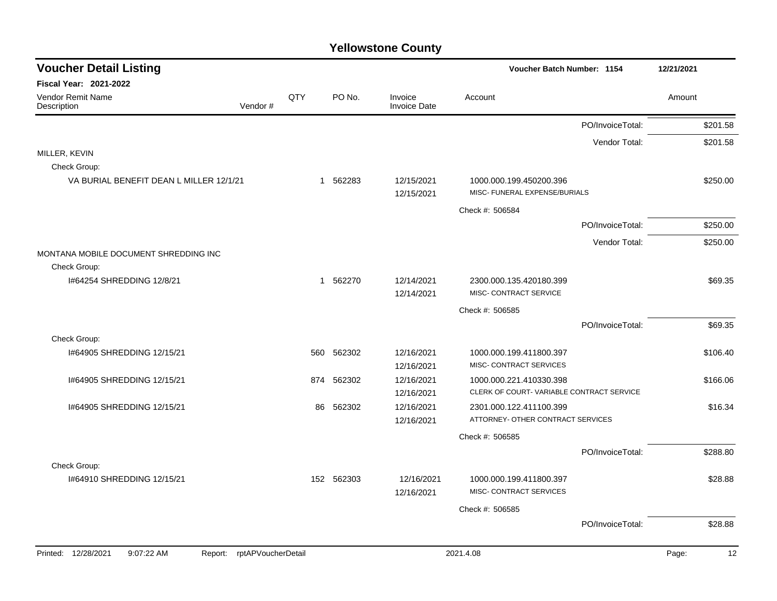| <b>Voucher Detail Listing</b>                |                    |                |            |                                | Voucher Batch Number: 1154                                   |                  | 12/21/2021 |          |
|----------------------------------------------|--------------------|----------------|------------|--------------------------------|--------------------------------------------------------------|------------------|------------|----------|
| <b>Fiscal Year: 2021-2022</b>                |                    |                |            |                                |                                                              |                  |            |          |
| <b>Vendor Remit Name</b><br>Description      | Vendor#            | QTY            | PO No.     | Invoice<br><b>Invoice Date</b> | Account                                                      |                  | Amount     |          |
|                                              |                    |                |            |                                |                                                              | PO/InvoiceTotal: |            | \$201.58 |
|                                              |                    |                |            |                                |                                                              | Vendor Total:    |            | \$201.58 |
| MILLER, KEVIN<br>Check Group:                |                    |                |            |                                |                                                              |                  |            |          |
| VA BURIAL BENEFIT DEAN L MILLER 12/1/21      |                    | $\mathbf 1$    | 562283     | 12/15/2021<br>12/15/2021       | 1000.000.199.450200.396<br>MISC- FUNERAL EXPENSE/BURIALS     |                  |            | \$250.00 |
|                                              |                    |                |            |                                | Check #: 506584                                              |                  |            |          |
|                                              |                    |                |            |                                |                                                              | PO/InvoiceTotal: |            | \$250.00 |
|                                              |                    |                |            |                                |                                                              | Vendor Total:    |            | \$250.00 |
| MONTANA MOBILE DOCUMENT SHREDDING INC        |                    |                |            |                                |                                                              |                  |            |          |
| Check Group:                                 |                    | $\overline{1}$ |            | 12/14/2021                     |                                                              |                  |            |          |
| I#64254 SHREDDING 12/8/21                    |                    |                | 562270     | 12/14/2021                     | 2300.000.135.420180.399<br>MISC- CONTRACT SERVICE            |                  |            | \$69.35  |
|                                              |                    |                |            |                                | Check #: 506585                                              |                  |            |          |
|                                              |                    |                |            |                                |                                                              | PO/InvoiceTotal: |            | \$69.35  |
| Check Group:                                 |                    |                |            |                                |                                                              |                  |            |          |
| 1#64905 SHREDDING 12/15/21                   |                    | 560            | 562302     | 12/16/2021                     | 1000.000.199.411800.397                                      |                  |            | \$106.40 |
|                                              |                    |                |            | 12/16/2021                     | MISC- CONTRACT SERVICES                                      |                  |            |          |
| 1#64905 SHREDDING 12/15/21                   |                    | 874            | 562302     | 12/16/2021                     | 1000.000.221.410330.398                                      |                  |            | \$166.06 |
|                                              |                    |                |            | 12/16/2021                     | CLERK OF COURT-VARIABLE CONTRACT SERVICE                     |                  |            |          |
| 1#64905 SHREDDING 12/15/21                   |                    | 86             | 562302     | 12/16/2021<br>12/16/2021       | 2301.000.122.411100.399<br>ATTORNEY- OTHER CONTRACT SERVICES |                  |            | \$16.34  |
|                                              |                    |                |            |                                | Check #: 506585                                              |                  |            |          |
|                                              |                    |                |            |                                |                                                              | PO/InvoiceTotal: |            | \$288.80 |
| Check Group:                                 |                    |                |            |                                |                                                              |                  |            |          |
| 1#64910 SHREDDING 12/15/21                   |                    |                | 152 562303 | 12/16/2021                     | 1000.000.199.411800.397                                      |                  |            | \$28.88  |
|                                              |                    |                |            | 12/16/2021                     | MISC- CONTRACT SERVICES                                      |                  |            |          |
|                                              |                    |                |            |                                | Check #: 506585                                              |                  |            |          |
|                                              |                    |                |            |                                |                                                              | PO/InvoiceTotal: |            | \$28.88  |
|                                              |                    |                |            |                                |                                                              |                  |            |          |
| Printed: 12/28/2021<br>9:07:22 AM<br>Report: | rptAPVoucherDetail |                |            |                                | 2021.4.08                                                    |                  | Page:      | 12       |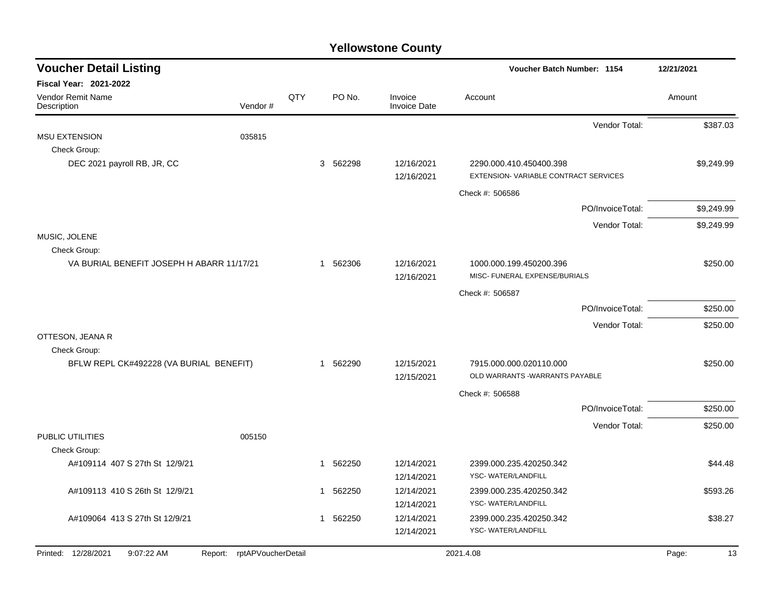| <b>Voucher Detail Listing</b>                |                    |     |                        |                                | Voucher Batch Number: 1154                                      | 12/21/2021  |
|----------------------------------------------|--------------------|-----|------------------------|--------------------------------|-----------------------------------------------------------------|-------------|
| Fiscal Year: 2021-2022                       |                    |     |                        |                                |                                                                 |             |
| Vendor Remit Name<br>Description             | Vendor#            | QTY | PO No.                 | Invoice<br><b>Invoice Date</b> | Account                                                         | Amount      |
|                                              |                    |     |                        |                                | Vendor Total:                                                   | \$387.03    |
| <b>MSU EXTENSION</b>                         | 035815             |     |                        |                                |                                                                 |             |
| Check Group:                                 |                    |     |                        |                                |                                                                 |             |
| DEC 2021 payroll RB, JR, CC                  |                    |     | 3 562298               | 12/16/2021<br>12/16/2021       | 2290.000.410.450400.398<br>EXTENSION-VARIABLE CONTRACT SERVICES | \$9,249.99  |
|                                              |                    |     |                        |                                | Check #: 506586                                                 |             |
|                                              |                    |     |                        |                                | PO/InvoiceTotal:                                                | \$9,249.99  |
|                                              |                    |     |                        |                                | Vendor Total:                                                   | \$9,249.99  |
| MUSIC, JOLENE<br>Check Group:                |                    |     |                        |                                |                                                                 |             |
| VA BURIAL BENEFIT JOSEPH H ABARR 11/17/21    |                    |     | 1 562306               | 12/16/2021                     | 1000.000.199.450200.396                                         | \$250.00    |
|                                              |                    |     |                        | 12/16/2021                     | MISC- FUNERAL EXPENSE/BURIALS                                   |             |
|                                              |                    |     |                        |                                | Check #: 506587                                                 |             |
|                                              |                    |     |                        |                                | PO/InvoiceTotal:                                                | \$250.00    |
|                                              |                    |     |                        |                                | Vendor Total:                                                   | \$250.00    |
| OTTESON, JEANA R                             |                    |     |                        |                                |                                                                 |             |
| Check Group:                                 |                    |     |                        |                                |                                                                 |             |
| BFLW REPL CK#492228 (VA BURIAL BENEFIT)      |                    |     | 1 562290               | 12/15/2021<br>12/15/2021       | 7915.000.000.020110.000<br>OLD WARRANTS - WARRANTS PAYABLE      | \$250.00    |
|                                              |                    |     |                        |                                | Check #: 506588                                                 |             |
|                                              |                    |     |                        |                                | PO/InvoiceTotal:                                                | \$250.00    |
|                                              |                    |     |                        |                                | Vendor Total:                                                   | \$250.00    |
| PUBLIC UTILITIES                             | 005150             |     |                        |                                |                                                                 |             |
| Check Group:                                 |                    |     |                        |                                |                                                                 |             |
| A#109114 407 S 27th St 12/9/21               |                    |     | 562250<br>-1           | 12/14/2021                     | 2399.000.235.420250.342<br>YSC-WATER/LANDFILL                   | \$44.48     |
| A#109113 410 S 26th St 12/9/21               |                    |     | 562250<br>$\mathbf 1$  | 12/14/2021<br>12/14/2021       | 2399.000.235.420250.342                                         | \$593.26    |
|                                              |                    |     |                        | 12/14/2021                     | YSC- WATER/LANDFILL                                             |             |
| A#109064 413 S 27th St 12/9/21               |                    |     | 562250<br>$\mathbf{1}$ | 12/14/2021                     | 2399.000.235.420250.342                                         | \$38.27     |
|                                              |                    |     |                        | 12/14/2021                     | YSC-WATER/LANDFILL                                              |             |
| Printed: 12/28/2021<br>9:07:22 AM<br>Report: | rptAPVoucherDetail |     |                        |                                | 2021.4.08                                                       | 13<br>Page: |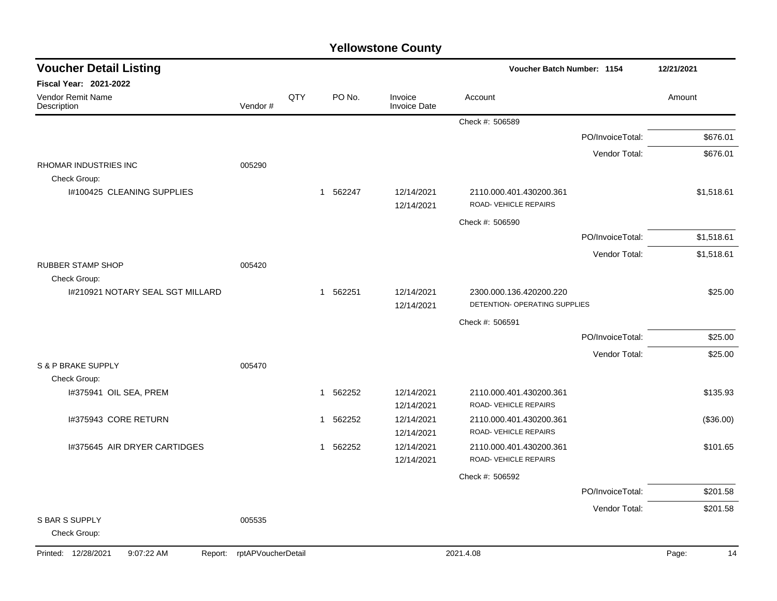| <b>Voucher Detail Listing</b>                |                    |              |        |                                | Voucher Batch Number: 1154                               |                  | 12/21/2021  |
|----------------------------------------------|--------------------|--------------|--------|--------------------------------|----------------------------------------------------------|------------------|-------------|
| Fiscal Year: 2021-2022                       |                    |              |        |                                |                                                          |                  |             |
| Vendor Remit Name<br>Description             | Vendor#            | QTY          | PO No. | Invoice<br><b>Invoice Date</b> | Account                                                  |                  | Amount      |
|                                              |                    |              |        |                                | Check #: 506589                                          |                  |             |
|                                              |                    |              |        |                                |                                                          | PO/InvoiceTotal: | \$676.01    |
|                                              |                    |              |        |                                |                                                          | Vendor Total:    | \$676.01    |
| RHOMAR INDUSTRIES INC<br>Check Group:        | 005290             |              |        |                                |                                                          |                  |             |
| <b>I#100425 CLEANING SUPPLIES</b>            |                    | $\mathbf{1}$ | 562247 | 12/14/2021<br>12/14/2021       | 2110.000.401.430200.361<br>ROAD- VEHICLE REPAIRS         |                  | \$1,518.61  |
|                                              |                    |              |        |                                | Check #: 506590                                          |                  |             |
|                                              |                    |              |        |                                |                                                          | PO/InvoiceTotal: | \$1,518.61  |
|                                              |                    |              |        |                                |                                                          | Vendor Total:    | \$1,518.61  |
| <b>RUBBER STAMP SHOP</b><br>Check Group:     | 005420             |              |        |                                |                                                          |                  |             |
| I#210921 NOTARY SEAL SGT MILLARD             |                    | 1            | 562251 | 12/14/2021<br>12/14/2021       | 2300.000.136.420200.220<br>DETENTION- OPERATING SUPPLIES |                  | \$25.00     |
|                                              |                    |              |        |                                | Check #: 506591                                          |                  |             |
|                                              |                    |              |        |                                |                                                          | PO/InvoiceTotal: | \$25.00     |
|                                              |                    |              |        |                                |                                                          | Vendor Total:    | \$25.00     |
| S & P BRAKE SUPPLY                           | 005470             |              |        |                                |                                                          |                  |             |
| Check Group:                                 |                    |              |        |                                |                                                          |                  |             |
| I#375941 OIL SEA, PREM                       |                    | 1            | 562252 | 12/14/2021<br>12/14/2021       | 2110.000.401.430200.361<br>ROAD- VEHICLE REPAIRS         |                  | \$135.93    |
| I#375943 CORE RETURN                         |                    | $\mathbf 1$  | 562252 | 12/14/2021<br>12/14/2021       | 2110.000.401.430200.361<br>ROAD-VEHICLE REPAIRS          |                  | (\$36.00)   |
| 1#375645 AIR DRYER CARTIDGES                 |                    | 1            | 562252 | 12/14/2021<br>12/14/2021       | 2110.000.401.430200.361<br>ROAD-VEHICLE REPAIRS          |                  | \$101.65    |
|                                              |                    |              |        |                                | Check #: 506592                                          |                  |             |
|                                              |                    |              |        |                                |                                                          | PO/InvoiceTotal: | \$201.58    |
|                                              |                    |              |        |                                |                                                          | Vendor Total:    | \$201.58    |
| <b>S BAR S SUPPLY</b><br>Check Group:        | 005535             |              |        |                                |                                                          |                  |             |
| Printed: 12/28/2021<br>9:07:22 AM<br>Report: | rptAPVoucherDetail |              |        |                                | 2021.4.08                                                |                  | Page:<br>14 |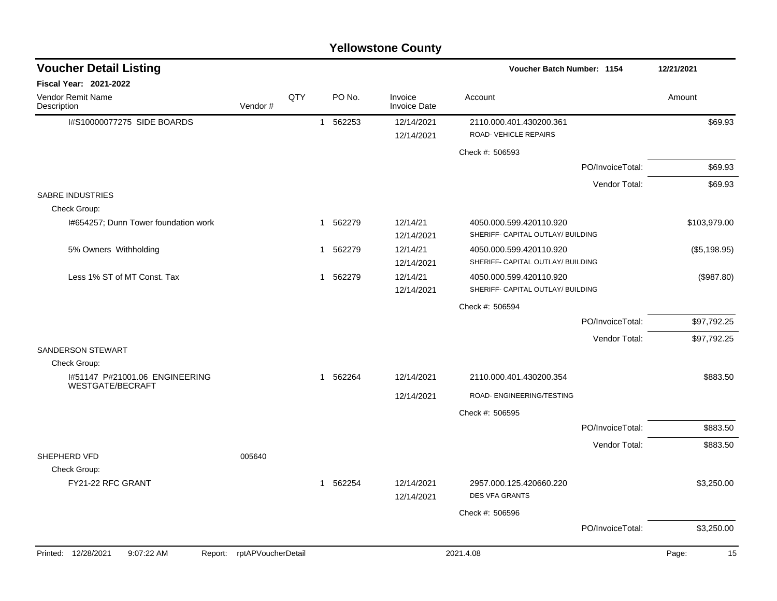|                                                    |                            |     |                        | <b>Yellowstone County</b>      |                                                              |                  |              |
|----------------------------------------------------|----------------------------|-----|------------------------|--------------------------------|--------------------------------------------------------------|------------------|--------------|
| <b>Voucher Detail Listing</b>                      |                            |     |                        |                                | Voucher Batch Number: 1154                                   |                  | 12/21/2021   |
| Fiscal Year: 2021-2022                             |                            |     |                        |                                |                                                              |                  |              |
| Vendor Remit Name<br>Description                   | Vendor#                    | QTY | PO No.                 | Invoice<br><b>Invoice Date</b> | Account                                                      |                  | Amount       |
| I#S10000077275 SIDE BOARDS                         |                            |     | 562253<br>$\mathbf 1$  | 12/14/2021<br>12/14/2021       | 2110.000.401.430200.361<br>ROAD- VEHICLE REPAIRS             |                  | \$69.93      |
|                                                    |                            |     |                        |                                | Check #: 506593                                              |                  |              |
|                                                    |                            |     |                        |                                |                                                              | PO/InvoiceTotal: | \$69.93      |
|                                                    |                            |     |                        |                                |                                                              | Vendor Total:    | \$69.93      |
| <b>SABRE INDUSTRIES</b>                            |                            |     |                        |                                |                                                              |                  |              |
| Check Group:                                       |                            |     |                        |                                |                                                              |                  |              |
| I#654257; Dunn Tower foundation work               |                            |     | 562279<br>1            | 12/14/21<br>12/14/2021         | 4050.000.599.420110.920<br>SHERIFF- CAPITAL OUTLAY/ BUILDING |                  | \$103,979.00 |
| 5% Owners Withholding                              |                            |     | 562279<br>1            | 12/14/21<br>12/14/2021         | 4050.000.599.420110.920<br>SHERIFF- CAPITAL OUTLAY/ BUILDING |                  | (\$5,198.95) |
| Less 1% ST of MT Const. Tax                        |                            |     | 1 562279               | 12/14/21<br>12/14/2021         | 4050.000.599.420110.920<br>SHERIFF- CAPITAL OUTLAY/ BUILDING |                  | (\$987.80)   |
|                                                    |                            |     |                        |                                | Check #: 506594                                              |                  |              |
|                                                    |                            |     |                        |                                |                                                              | PO/InvoiceTotal: | \$97,792.25  |
|                                                    |                            |     |                        |                                |                                                              | Vendor Total:    | \$97,792.25  |
| <b>SANDERSON STEWART</b>                           |                            |     |                        |                                |                                                              |                  |              |
| Check Group:                                       |                            |     |                        |                                |                                                              |                  |              |
| I#51147 P#21001.06 ENGINEERING<br>WESTGATE/BECRAFT |                            |     | 1 562264               | 12/14/2021                     | 2110.000.401.430200.354                                      |                  | \$883.50     |
|                                                    |                            |     |                        | 12/14/2021                     | ROAD- ENGINEERING/TESTING                                    |                  |              |
|                                                    |                            |     |                        |                                | Check #: 506595                                              |                  |              |
|                                                    |                            |     |                        |                                |                                                              | PO/InvoiceTotal: | \$883.50     |
|                                                    |                            |     |                        |                                |                                                              | Vendor Total:    | \$883.50     |
| SHEPHERD VFD                                       | 005640                     |     |                        |                                |                                                              |                  |              |
| Check Group:                                       |                            |     |                        |                                |                                                              |                  |              |
| FY21-22 RFC GRANT                                  |                            |     | $\mathbf{1}$<br>562254 | 12/14/2021<br>12/14/2021       | 2957.000.125.420660.220<br><b>DES VFA GRANTS</b>             |                  | \$3,250.00   |
|                                                    |                            |     |                        |                                | Check #: 506596                                              |                  |              |
|                                                    |                            |     |                        |                                |                                                              | PO/InvoiceTotal: | \$3,250.00   |
| Printed: 12/28/2021<br>9:07:22 AM                  | Report: rptAPVoucherDetail |     |                        |                                | 2021.4.08                                                    |                  | Page:<br>15  |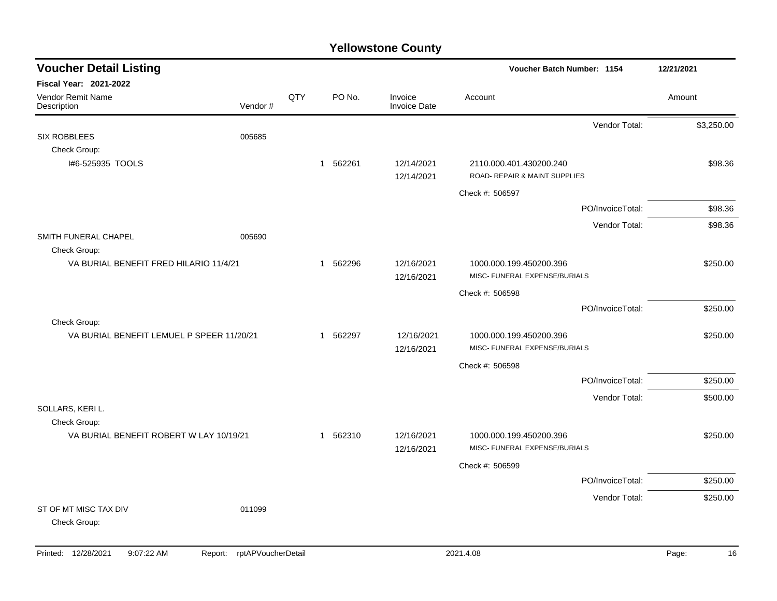| <b>Voucher Detail Listing</b>             |         |     |          |                                | Voucher Batch Number: 1154    |                  | 12/21/2021 |
|-------------------------------------------|---------|-----|----------|--------------------------------|-------------------------------|------------------|------------|
| Fiscal Year: 2021-2022                    |         |     |          |                                |                               |                  |            |
| <b>Vendor Remit Name</b><br>Description   | Vendor# | QTY | PO No.   | Invoice<br><b>Invoice Date</b> | Account                       |                  | Amount     |
|                                           |         |     |          |                                |                               | Vendor Total:    | \$3,250.00 |
| <b>SIX ROBBLEES</b>                       | 005685  |     |          |                                |                               |                  |            |
| Check Group:                              |         |     |          |                                |                               |                  |            |
| I#6-525935 TOOLS                          |         |     | 1 562261 | 12/14/2021                     | 2110.000.401.430200.240       |                  | \$98.36    |
|                                           |         |     |          | 12/14/2021                     | ROAD- REPAIR & MAINT SUPPLIES |                  |            |
|                                           |         |     |          |                                | Check #: 506597               |                  |            |
|                                           |         |     |          |                                |                               | PO/InvoiceTotal: | \$98.36    |
|                                           |         |     |          |                                |                               | Vendor Total:    | \$98.36    |
| SMITH FUNERAL CHAPEL                      | 005690  |     |          |                                |                               |                  |            |
| Check Group:                              |         |     |          |                                |                               |                  |            |
| VA BURIAL BENEFIT FRED HILARIO 11/4/21    |         |     | 1 562296 | 12/16/2021                     | 1000.000.199.450200.396       |                  | \$250.00   |
|                                           |         |     |          | 12/16/2021                     | MISC- FUNERAL EXPENSE/BURIALS |                  |            |
|                                           |         |     |          |                                | Check #: 506598               |                  |            |
|                                           |         |     |          |                                |                               | PO/InvoiceTotal: | \$250.00   |
| Check Group:                              |         |     |          |                                |                               |                  |            |
| VA BURIAL BENEFIT LEMUEL P SPEER 11/20/21 |         |     | 1 562297 | 12/16/2021                     | 1000.000.199.450200.396       |                  | \$250.00   |
|                                           |         |     |          | 12/16/2021                     | MISC- FUNERAL EXPENSE/BURIALS |                  |            |
|                                           |         |     |          |                                | Check #: 506598               |                  |            |
|                                           |         |     |          |                                |                               | PO/InvoiceTotal: | \$250.00   |
|                                           |         |     |          |                                |                               | Vendor Total:    | \$500.00   |
| SOLLARS, KERI L.                          |         |     |          |                                |                               |                  |            |
| Check Group:                              |         |     |          |                                |                               |                  |            |
| VA BURIAL BENEFIT ROBERT W LAY 10/19/21   |         |     | 1 562310 | 12/16/2021                     | 1000.000.199.450200.396       |                  | \$250.00   |
|                                           |         |     |          | 12/16/2021                     | MISC- FUNERAL EXPENSE/BURIALS |                  |            |
|                                           |         |     |          |                                | Check #: 506599               |                  |            |
|                                           |         |     |          |                                |                               | PO/InvoiceTotal: | \$250.00   |
|                                           |         |     |          |                                |                               | Vendor Total:    | \$250.00   |
| ST OF MT MISC TAX DIV                     | 011099  |     |          |                                |                               |                  |            |
| Check Group:                              |         |     |          |                                |                               |                  |            |
|                                           |         |     |          |                                |                               |                  |            |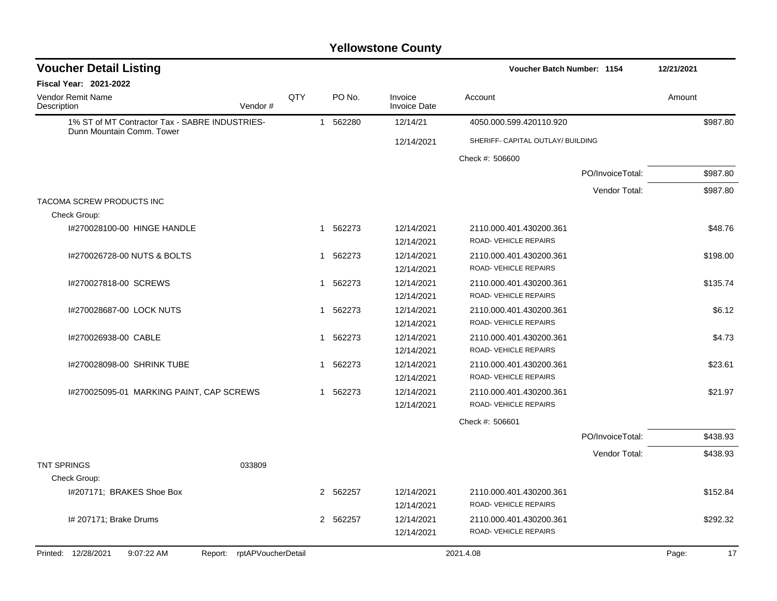| <b>Voucher Detail Listing</b>                                               |                            |     |                        |                                | Voucher Batch Number: 1154        |                  | 12/21/2021 |          |
|-----------------------------------------------------------------------------|----------------------------|-----|------------------------|--------------------------------|-----------------------------------|------------------|------------|----------|
| Fiscal Year: 2021-2022                                                      |                            |     |                        |                                |                                   |                  |            |          |
| <b>Vendor Remit Name</b><br>Description                                     | Vendor#                    | QTY | PO No.                 | Invoice<br><b>Invoice Date</b> | Account                           |                  | Amount     |          |
| 1% ST of MT Contractor Tax - SABRE INDUSTRIES-<br>Dunn Mountain Comm. Tower |                            |     | 562280<br>$\mathbf 1$  | 12/14/21                       | 4050.000.599.420110.920           |                  |            | \$987.80 |
|                                                                             |                            |     |                        | 12/14/2021                     | SHERIFF- CAPITAL OUTLAY/ BUILDING |                  |            |          |
|                                                                             |                            |     |                        |                                | Check #: 506600                   |                  |            |          |
|                                                                             |                            |     |                        |                                |                                   | PO/InvoiceTotal: |            | \$987.80 |
|                                                                             |                            |     |                        |                                |                                   | Vendor Total:    |            | \$987.80 |
| TACOMA SCREW PRODUCTS INC                                                   |                            |     |                        |                                |                                   |                  |            |          |
| Check Group:                                                                |                            |     |                        |                                |                                   |                  |            |          |
| I#270028100-00 HINGE HANDLE                                                 |                            |     | 562273<br>1            | 12/14/2021                     | 2110.000.401.430200.361           |                  |            | \$48.76  |
|                                                                             |                            |     |                        | 12/14/2021                     | ROAD- VEHICLE REPAIRS             |                  |            |          |
| 1#270026728-00 NUTS & BOLTS                                                 |                            |     | 562273<br>1            | 12/14/2021                     | 2110.000.401.430200.361           |                  |            | \$198.00 |
|                                                                             |                            |     |                        | 12/14/2021                     | ROAD-VEHICLE REPAIRS              |                  |            |          |
| I#270027818-00 SCREWS                                                       |                            |     | 562273<br>$\mathbf{1}$ | 12/14/2021                     | 2110.000.401.430200.361           |                  |            | \$135.74 |
|                                                                             |                            |     |                        | 12/14/2021                     | ROAD-VEHICLE REPAIRS              |                  |            |          |
| 1#270028687-00 LOCK NUTS                                                    |                            |     | 562273<br>$\mathbf{1}$ | 12/14/2021                     | 2110.000.401.430200.361           |                  |            | \$6.12   |
|                                                                             |                            |     |                        | 12/14/2021                     | ROAD-VEHICLE REPAIRS              |                  |            |          |
| I#270026938-00 CABLE                                                        |                            |     | 562273<br>1            | 12/14/2021                     | 2110.000.401.430200.361           |                  |            | \$4.73   |
|                                                                             |                            |     |                        | 12/14/2021                     | ROAD- VEHICLE REPAIRS             |                  |            |          |
| I#270028098-00 SHRINK TUBE                                                  |                            |     | 562273<br>1            | 12/14/2021                     | 2110.000.401.430200.361           |                  |            | \$23.61  |
|                                                                             |                            |     |                        | 12/14/2021                     | ROAD-VEHICLE REPAIRS              |                  |            |          |
| I#270025095-01 MARKING PAINT, CAP SCREWS                                    |                            |     | 1 562273               | 12/14/2021                     | 2110.000.401.430200.361           |                  |            | \$21.97  |
|                                                                             |                            |     |                        | 12/14/2021                     | ROAD-VEHICLE REPAIRS              |                  |            |          |
|                                                                             |                            |     |                        |                                | Check #: 506601                   |                  |            |          |
|                                                                             |                            |     |                        |                                |                                   | PO/InvoiceTotal: |            | \$438.93 |
|                                                                             |                            |     |                        |                                |                                   | Vendor Total:    |            | \$438.93 |
| <b>TNT SPRINGS</b>                                                          | 033809                     |     |                        |                                |                                   |                  |            |          |
| Check Group:                                                                |                            |     |                        |                                |                                   |                  |            |          |
| I#207171; BRAKES Shoe Box                                                   |                            |     | 2 562257               | 12/14/2021                     | 2110.000.401.430200.361           |                  |            | \$152.84 |
|                                                                             |                            |     |                        | 12/14/2021                     | ROAD-VEHICLE REPAIRS              |                  |            |          |
| I# 207171; Brake Drums                                                      |                            |     | 2 562257               | 12/14/2021                     | 2110.000.401.430200.361           |                  |            | \$292.32 |
|                                                                             |                            |     |                        | 12/14/2021                     | ROAD-VEHICLE REPAIRS              |                  |            |          |
| Printed: 12/28/2021<br>9:07:22 AM                                           | Report: rptAPVoucherDetail |     |                        |                                | 2021.4.08                         |                  | Page:      | 17       |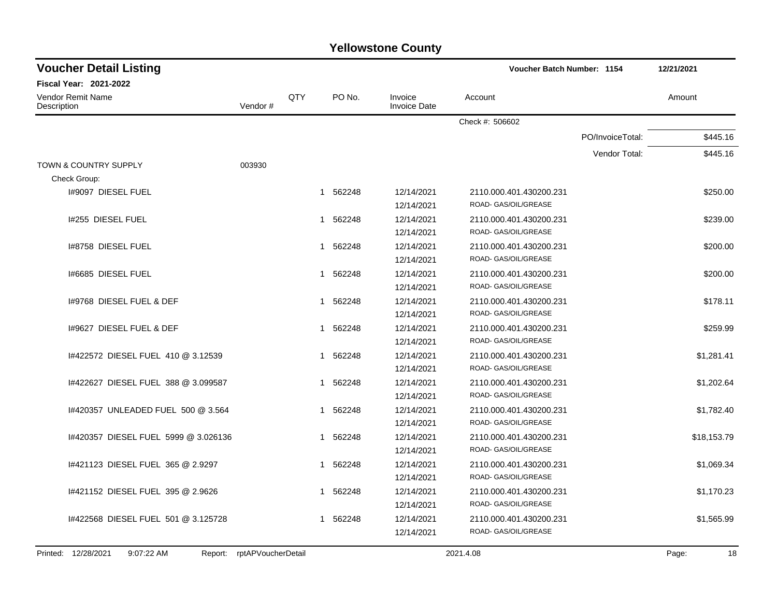| <b>Voucher Detail Listing</b>                    |         |     |                        | Voucher Batch Number: 1154     | 12/21/2021              |                  |             |
|--------------------------------------------------|---------|-----|------------------------|--------------------------------|-------------------------|------------------|-------------|
| <b>Fiscal Year: 2021-2022</b>                    |         |     |                        |                                |                         |                  |             |
| <b>Vendor Remit Name</b><br>Description          | Vendor# | QTY | PO No.                 | Invoice<br><b>Invoice Date</b> | Account                 |                  | Amount      |
|                                                  |         |     |                        |                                | Check #: 506602         |                  |             |
|                                                  |         |     |                        |                                |                         | PO/InvoiceTotal: | \$445.16    |
|                                                  |         |     |                        |                                |                         | Vendor Total:    | \$445.16    |
| <b>TOWN &amp; COUNTRY SUPPLY</b><br>Check Group: | 003930  |     |                        |                                |                         |                  |             |
| 1#9097 DIESEL FUEL                               |         |     | 1 562248               | 12/14/2021                     | 2110.000.401.430200.231 |                  | \$250.00    |
|                                                  |         |     |                        | 12/14/2021                     | ROAD- GAS/OIL/GREASE    |                  |             |
| 1#255 DIESEL FUEL                                |         |     | 562248<br>1            | 12/14/2021                     | 2110.000.401.430200.231 |                  | \$239.00    |
|                                                  |         |     |                        | 12/14/2021                     | ROAD- GAS/OIL/GREASE    |                  |             |
| 1#8758 DIESEL FUEL                               |         |     | 562248<br>1            | 12/14/2021                     | 2110.000.401.430200.231 |                  | \$200.00    |
|                                                  |         |     |                        | 12/14/2021                     | ROAD- GAS/OIL/GREASE    |                  |             |
| 1#6685 DIESEL FUEL                               |         |     | 562248<br>1            | 12/14/2021                     | 2110.000.401.430200.231 |                  | \$200.00    |
|                                                  |         |     |                        | 12/14/2021                     | ROAD- GAS/OIL/GREASE    |                  |             |
| 1#9768 DIESEL FUEL & DEF                         |         |     | 1 562248               | 12/14/2021                     | 2110.000.401.430200.231 |                  | \$178.11    |
|                                                  |         |     |                        | 12/14/2021                     | ROAD- GAS/OIL/GREASE    |                  |             |
| 1#9627 DIESEL FUEL & DEF                         |         |     | 1 562248               | 12/14/2021                     | 2110.000.401.430200.231 |                  | \$259.99    |
|                                                  |         |     |                        | 12/14/2021                     | ROAD- GAS/OIL/GREASE    |                  |             |
| 1#422572 DIESEL FUEL 410 @ 3.12539               |         |     | 1 562248               | 12/14/2021                     | 2110.000.401.430200.231 |                  | \$1,281.41  |
|                                                  |         |     |                        | 12/14/2021                     | ROAD- GAS/OIL/GREASE    |                  |             |
| 1#422627 DIESEL FUEL 388 @ 3.099587              |         |     | 1 562248               | 12/14/2021                     | 2110.000.401.430200.231 |                  | \$1,202.64  |
|                                                  |         |     |                        | 12/14/2021                     | ROAD- GAS/OIL/GREASE    |                  |             |
| 1#420357 UNLEADED FUEL 500 @ 3.564               |         |     | 562248<br>$\mathbf{1}$ | 12/14/2021                     | 2110.000.401.430200.231 |                  | \$1,782.40  |
|                                                  |         |     |                        | 12/14/2021                     | ROAD- GAS/OIL/GREASE    |                  |             |
| 1#420357 DIESEL FUEL 5999 @ 3.026136             |         |     | 562248<br>1            | 12/14/2021                     | 2110.000.401.430200.231 |                  | \$18,153.79 |
|                                                  |         |     |                        | 12/14/2021                     | ROAD- GAS/OIL/GREASE    |                  |             |
| 1#421123 DIESEL FUEL 365 @ 2.9297                |         |     | 562248<br>1            | 12/14/2021                     | 2110.000.401.430200.231 |                  | \$1,069.34  |
|                                                  |         |     |                        | 12/14/2021                     | ROAD- GAS/OIL/GREASE    |                  |             |
| 1#421152 DIESEL FUEL 395 @ 2.9626                |         |     | 562248<br>1            | 12/14/2021                     | 2110.000.401.430200.231 |                  | \$1,170.23  |
|                                                  |         |     |                        | 12/14/2021                     | ROAD- GAS/OIL/GREASE    |                  |             |
| 1#422568 DIESEL FUEL 501 @ 3.125728              |         |     | 1 562248               | 12/14/2021                     | 2110.000.401.430200.231 |                  | \$1,565.99  |
|                                                  |         |     |                        | 12/14/2021                     | ROAD- GAS/OIL/GREASE    |                  |             |
|                                                  |         |     |                        |                                |                         |                  |             |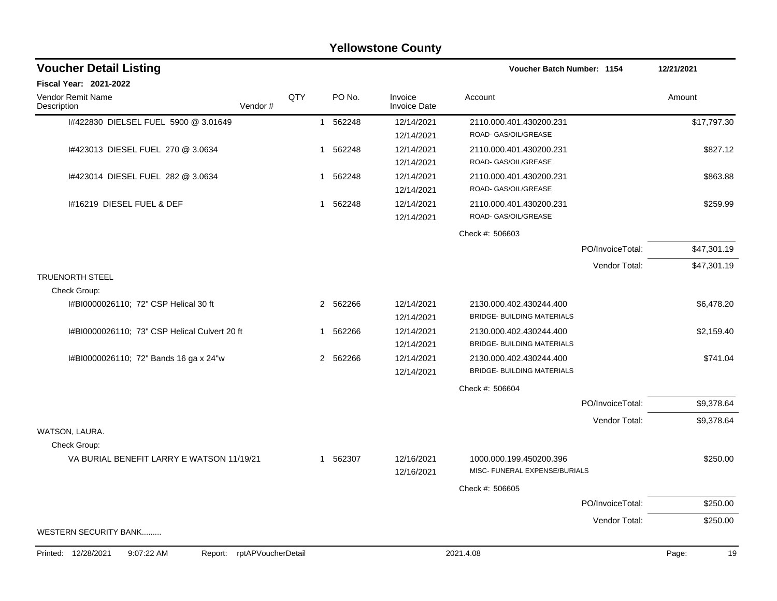|                                               |                            |     |              |          | <b>Yellowstone County</b> |                                   |                  |             |
|-----------------------------------------------|----------------------------|-----|--------------|----------|---------------------------|-----------------------------------|------------------|-------------|
| <b>Voucher Detail Listing</b>                 |                            |     |              |          |                           | Voucher Batch Number: 1154        |                  | 12/21/2021  |
| Fiscal Year: 2021-2022                        |                            |     |              |          |                           |                                   |                  |             |
| Vendor Remit Name<br>Description              | Vendor#                    | QTY |              | PO No.   | Invoice<br>Invoice Date   | Account                           |                  | Amount      |
| 1#422830 DIELSEL FUEL 5900 @ 3.01649          |                            |     | $\mathbf{1}$ | 562248   | 12/14/2021                | 2110.000.401.430200.231           |                  | \$17,797.30 |
|                                               |                            |     |              |          | 12/14/2021                | ROAD- GAS/OIL/GREASE              |                  |             |
| I#423013 DIESEL FUEL 270 @ 3.0634             |                            |     | 1            | 562248   | 12/14/2021                | 2110.000.401.430200.231           |                  | \$827.12    |
|                                               |                            |     |              |          | 12/14/2021                | ROAD- GAS/OIL/GREASE              |                  |             |
| 1#423014 DIESEL FUEL 282 @ 3.0634             |                            |     | -1           | 562248   | 12/14/2021                | 2110.000.401.430200.231           |                  | \$863.88    |
|                                               |                            |     |              |          | 12/14/2021                | ROAD- GAS/OIL/GREASE              |                  |             |
| 1#16219 DIESEL FUEL & DEF                     |                            |     | 1            | 562248   | 12/14/2021                | 2110.000.401.430200.231           |                  | \$259.99    |
|                                               |                            |     |              |          | 12/14/2021                | ROAD- GAS/OIL/GREASE              |                  |             |
|                                               |                            |     |              |          |                           | Check #: 506603                   |                  |             |
|                                               |                            |     |              |          |                           |                                   | PO/InvoiceTotal: | \$47,301.19 |
|                                               |                            |     |              |          |                           |                                   | Vendor Total:    | \$47,301.19 |
| <b>TRUENORTH STEEL</b>                        |                            |     |              |          |                           |                                   |                  |             |
| Check Group:                                  |                            |     |              |          |                           |                                   |                  |             |
| I#BI0000026110; 72" CSP Helical 30 ft         |                            |     |              | 2 562266 | 12/14/2021                | 2130.000.402.430244.400           |                  | \$6,478.20  |
|                                               |                            |     |              |          | 12/14/2021                | <b>BRIDGE- BUILDING MATERIALS</b> |                  |             |
| I#BI0000026110; 73" CSP Helical Culvert 20 ft |                            |     | -1           | 562266   | 12/14/2021                | 2130.000.402.430244.400           |                  | \$2,159.40  |
|                                               |                            |     |              |          | 12/14/2021                | <b>BRIDGE- BUILDING MATERIALS</b> |                  |             |
| I#BI0000026110; 72" Bands 16 ga x 24"w        |                            |     |              | 2 562266 | 12/14/2021                | 2130.000.402.430244.400           |                  | \$741.04    |
|                                               |                            |     |              |          | 12/14/2021                | BRIDGE- BUILDING MATERIALS        |                  |             |
|                                               |                            |     |              |          |                           | Check #: 506604                   |                  |             |
|                                               |                            |     |              |          |                           |                                   | PO/InvoiceTotal: | \$9,378.64  |
|                                               |                            |     |              |          |                           |                                   | Vendor Total:    | \$9,378.64  |
| WATSON, LAURA.                                |                            |     |              |          |                           |                                   |                  |             |
| Check Group:                                  |                            |     |              |          |                           |                                   |                  |             |
| VA BURIAL BENEFIT LARRY E WATSON 11/19/21     |                            |     | -1           | 562307   | 12/16/2021                | 1000.000.199.450200.396           |                  | \$250.00    |
|                                               |                            |     |              |          | 12/16/2021                | MISC- FUNERAL EXPENSE/BURIALS     |                  |             |
|                                               |                            |     |              |          |                           | Check #: 506605                   |                  |             |
|                                               |                            |     |              |          |                           |                                   | PO/InvoiceTotal: | \$250.00    |
|                                               |                            |     |              |          |                           |                                   | Vendor Total:    | \$250.00    |
| WESTERN SECURITY BANK                         |                            |     |              |          |                           |                                   |                  |             |
| Printed: 12/28/2021<br>9:07:22 AM             | Report: rptAPVoucherDetail |     |              |          |                           | 2021.4.08                         |                  | 19<br>Page: |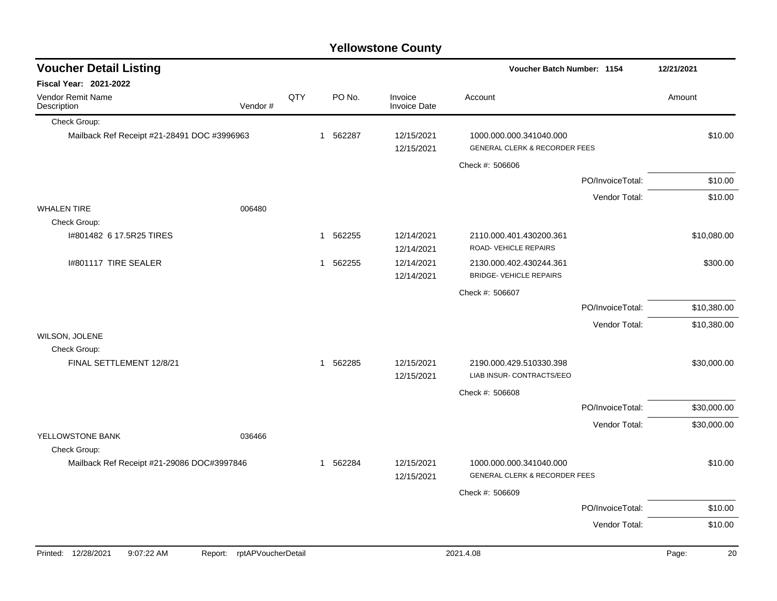| <b>Yellowstone County</b>                   |         |     |              |        |                                |                                                                     |                  |             |  |  |
|---------------------------------------------|---------|-----|--------------|--------|--------------------------------|---------------------------------------------------------------------|------------------|-------------|--|--|
| <b>Voucher Detail Listing</b>               |         |     |              |        |                                | Voucher Batch Number: 1154                                          |                  | 12/21/2021  |  |  |
| <b>Fiscal Year: 2021-2022</b>               |         |     |              |        |                                |                                                                     |                  |             |  |  |
| <b>Vendor Remit Name</b><br>Description     | Vendor# | QTY |              | PO No. | Invoice<br><b>Invoice Date</b> | Account                                                             |                  | Amount      |  |  |
| Check Group:                                |         |     |              |        |                                |                                                                     |                  |             |  |  |
| Mailback Ref Receipt #21-28491 DOC #3996963 |         |     | 1            | 562287 | 12/15/2021<br>12/15/2021       | 1000.000.000.341040.000<br><b>GENERAL CLERK &amp; RECORDER FEES</b> |                  | \$10.00     |  |  |
|                                             |         |     |              |        |                                | Check #: 506606                                                     |                  |             |  |  |
|                                             |         |     |              |        |                                |                                                                     | PO/InvoiceTotal: | \$10.00     |  |  |
|                                             |         |     |              |        |                                |                                                                     | Vendor Total:    | \$10.00     |  |  |
| <b>WHALEN TIRE</b>                          | 006480  |     |              |        |                                |                                                                     |                  |             |  |  |
| Check Group:                                |         |     |              |        |                                |                                                                     |                  |             |  |  |
| I#801482 6 17.5R25 TIRES                    |         |     | 1            | 562255 | 12/14/2021<br>12/14/2021       | 2110.000.401.430200.361<br>ROAD-VEHICLE REPAIRS                     |                  | \$10,080.00 |  |  |
| I#801117 TIRE SEALER                        |         |     | 1            | 562255 | 12/14/2021                     | 2130.000.402.430244.361                                             |                  | \$300.00    |  |  |
|                                             |         |     |              |        | 12/14/2021                     | <b>BRIDGE- VEHICLE REPAIRS</b>                                      |                  |             |  |  |
|                                             |         |     |              |        |                                | Check #: 506607                                                     |                  |             |  |  |
|                                             |         |     |              |        |                                |                                                                     | PO/InvoiceTotal: | \$10,380.00 |  |  |
|                                             |         |     |              |        |                                |                                                                     | Vendor Total:    | \$10,380.00 |  |  |
| WILSON, JOLENE                              |         |     |              |        |                                |                                                                     |                  |             |  |  |
| Check Group:                                |         |     |              |        |                                |                                                                     |                  |             |  |  |
| FINAL SETTLEMENT 12/8/21                    |         |     | 1            | 562285 | 12/15/2021                     | 2190.000.429.510330.398                                             |                  | \$30,000.00 |  |  |
|                                             |         |     |              |        | 12/15/2021                     | LIAB INSUR- CONTRACTS/EEO                                           |                  |             |  |  |
|                                             |         |     |              |        |                                | Check #: 506608                                                     |                  |             |  |  |
|                                             |         |     |              |        |                                |                                                                     | PO/InvoiceTotal: | \$30,000.00 |  |  |
|                                             |         |     |              |        |                                |                                                                     | Vendor Total:    | \$30,000.00 |  |  |
| YELLOWSTONE BANK                            | 036466  |     |              |        |                                |                                                                     |                  |             |  |  |
| Check Group:                                |         |     |              |        |                                |                                                                     |                  |             |  |  |
| Mailback Ref Receipt #21-29086 DOC#3997846  |         |     | $\mathbf{1}$ | 562284 | 12/15/2021<br>12/15/2021       | 1000.000.000.341040.000<br><b>GENERAL CLERK &amp; RECORDER FEES</b> |                  | \$10.00     |  |  |
|                                             |         |     |              |        |                                | Check #: 506609                                                     |                  |             |  |  |
|                                             |         |     |              |        |                                |                                                                     | PO/InvoiceTotal: | \$10.00     |  |  |
|                                             |         |     |              |        |                                |                                                                     | Vendor Total:    | \$10.00     |  |  |
|                                             |         |     |              |        |                                |                                                                     |                  |             |  |  |